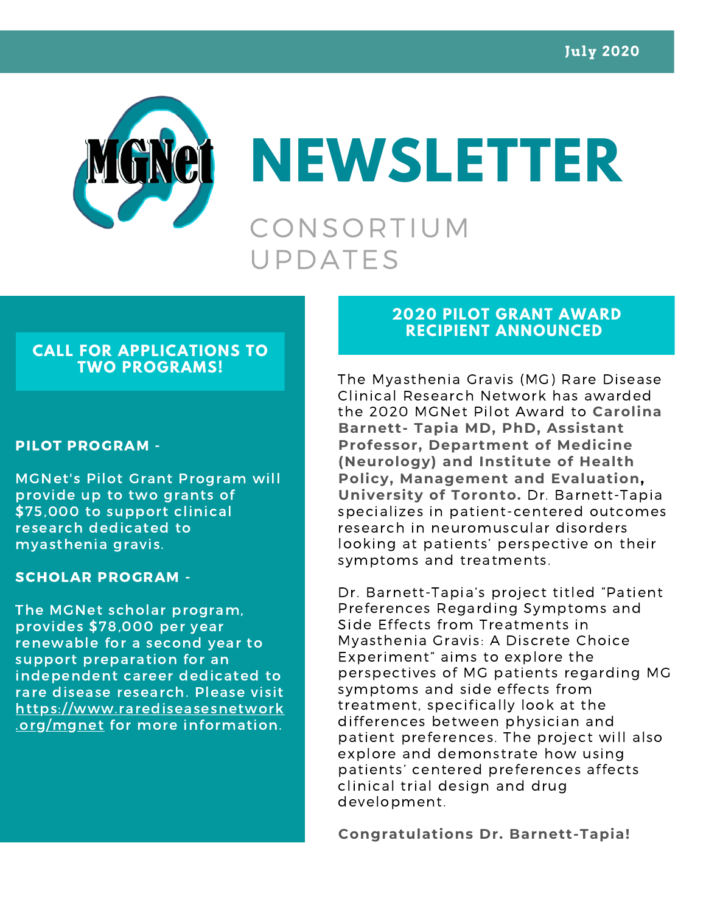

**NEWSLETTER** CONSORTIUM UPDATES

# **CALL FOR APPLICATIONS TO TWO PROGRAMS!**

#### PILOT PROGRAM -

MGNet's Pilot Grant Program will provide up to two grants of \$75,000 to support clinical research dedicated to myasthenia gravis.

## SCHOLAR PROGRAM -

The MGNet scholar program, provides \$78,000 per year renewable for a second year to support preparation for an independent career dedicated to rare disease research. Please visit https://www.rarediseasesnetwork .org/mgnet for more information.

# **2020 PILOT GRANT AWARD RECIPIENT ANNOUNCED**

The Myasthenia Gravis (MG) Rare Disease Clinical Research Network has awarded the 2020 MGNet Pilot Award to **Carolina Barnett- Tapia MD, PhD, Assistant Professor, Department of Medicine (Neurology) and Institute of Health Policy, Management and Evaluation, University of Toronto.** Dr. Barnett-Tapia specializes in patient-centered outcomes research in neuromuscular disorders looking at patients' perspective on their symptoms and treatments.

Dr. Barnett-Tapia's project titled "Patient Preferences Regarding Symptoms and Side Effects from Treatments in Myasthenia Gravis: A Discrete Choice Experiment" aims to explore the perspectives of MG patients regarding MG symptoms and side effects from treatment, specifically look at the differences between physician and patient preferences. The project will also explore and demonstrate how using patients' centered preferences affects clinical trial design and drug development.

**Congratulations Dr. Barnett-Tapia!**